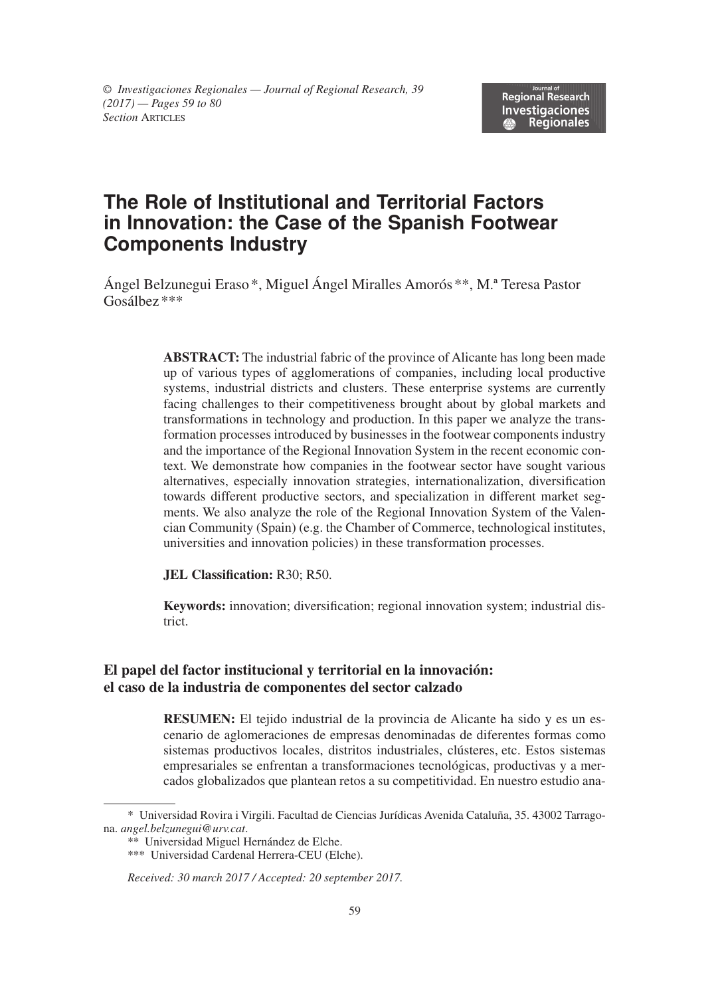# **The Role of Institutional and Territorial Factors in Innovation: the Case of the Spanish Footwear Components Industry**

Ángel Belzunegui Eraso\*, Miguel Ángel Miralles Amorós \*\*, M.ª Teresa Pastor Gosálbez\*\*\*

> **ABSTRACT:** The industrial fabric of the province of Alicante has long been made up of various types of agglomerations of companies, including local productive systems, industrial districts and clusters. These enterprise systems are currently facing challenges to their competitiveness brought about by global markets and transformations in technology and production. In this paper we analyze the transformation processes introduced by businesses in the footwear components industry and the importance of the Regional Innovation System in the recent economic context. We demonstrate how companies in the footwear sector have sought various alternatives, especially innovation strategies, internationalization, diversification towards different productive sectors, and specialization in different market segments. We also analyze the role of the Regional Innovation System of the Valencian Community (Spain) (e.g. the Chamber of Commerce, technological institutes, universities and innovation policies) in these transformation processes.

**JEL Classification:** R30; R50.

**Keywords:** innovation; diversification; regional innovation system; industrial district.

#### **El papel del factor institucional y territorial en la innovación: el caso de la industria de componentes del sector calzado**

**RESUMEN:** El tejido industrial de la provincia de Alicante ha sido y es un escenario de aglomeraciones de empresas denominadas de diferentes formas como sistemas productivos locales, distritos industriales, clústeres, etc. Estos sistemas empresariales se enfrentan a transformaciones tecnológicas, productivas y a mercados globalizados que plantean retos a su competitividad. En nuestro estudio ana-

<sup>\*</sup> Universidad Rovira i Virgili. Facultad de Ciencias Jurídicas Avenida Cataluña, 35. 43002 Tarragona. *angel.belzunegui@urv.cat*.

<sup>\*\*</sup> Universidad Miguel Hernández de Elche.

<sup>\*\*\*</sup> Universidad Cardenal Herrera-CEU (Elche).

*Received: 30 march 2017 / Accepted: 20 september 2017.*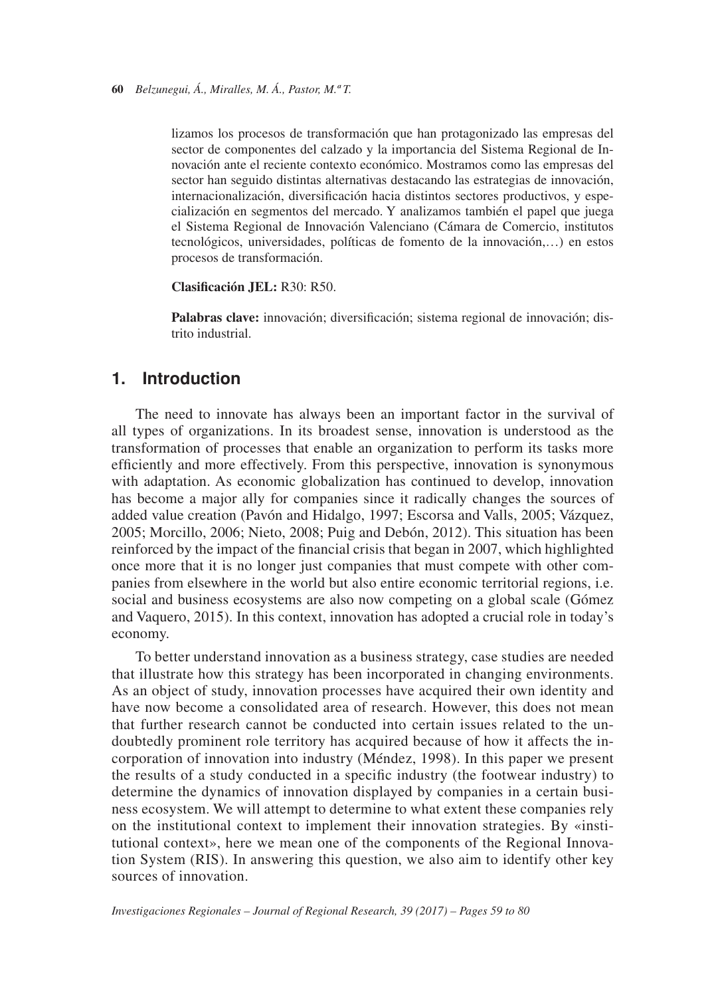lizamos los procesos de transformación que han protagonizado las empresas del sector de componentes del calzado y la importancia del Sistema Regional de Innovación ante el reciente contexto económico. Mostramos como las empresas del sector han seguido distintas alternativas destacando las estrategias de innovación, internacionalización, diversificación hacia distintos sectores productivos, y especialización en segmentos del mercado. Y analizamos también el papel que juega el Sistema Regional de Innovación Valenciano (Cámara de Comercio, institutos tecnológicos, universidades, políticas de fomento de la innovación,…) en estos procesos de transformación.

**Clasificación JEL:** R30: R50.

**Palabras clave:** innovación; diversificación; sistema regional de innovación; distrito industrial.

#### **1. Introduction**

The need to innovate has always been an important factor in the survival of all types of organizations. In its broadest sense, innovation is understood as the transformation of processes that enable an organization to perform its tasks more efficiently and more effectively. From this perspective, innovation is synonymous with adaptation. As economic globalization has continued to develop, innovation has become a major ally for companies since it radically changes the sources of added value creation (Pavón and Hidalgo, 1997; Escorsa and Valls, 2005; Vázquez, 2005; Morcillo, 2006; Nieto, 2008; Puig and Debón, 2012). This situation has been reinforced by the impact of the financial crisis that began in 2007, which highlighted once more that it is no longer just companies that must compete with other companies from elsewhere in the world but also entire economic territorial regions, i.e. social and business ecosystems are also now competing on a global scale (Gómez and Vaquero, 2015). In this context, innovation has adopted a crucial role in today's economy.

To better understand innovation as a business strategy, case studies are needed that illustrate how this strategy has been incorporated in changing environments. As an object of study, innovation processes have acquired their own identity and have now become a consolidated area of research. However, this does not mean that further research cannot be conducted into certain issues related to the undoubtedly prominent role territory has acquired because of how it affects the incorporation of innovation into industry (Méndez, 1998). In this paper we present the results of a study conducted in a specific industry (the footwear industry) to determine the dynamics of innovation displayed by companies in a certain business ecosystem. We will attempt to determine to what extent these companies rely on the institutional context to implement their innovation strategies. By «institutional context», here we mean one of the components of the Regional Innovation System (RIS). In answering this question, we also aim to identify other key sources of innovation.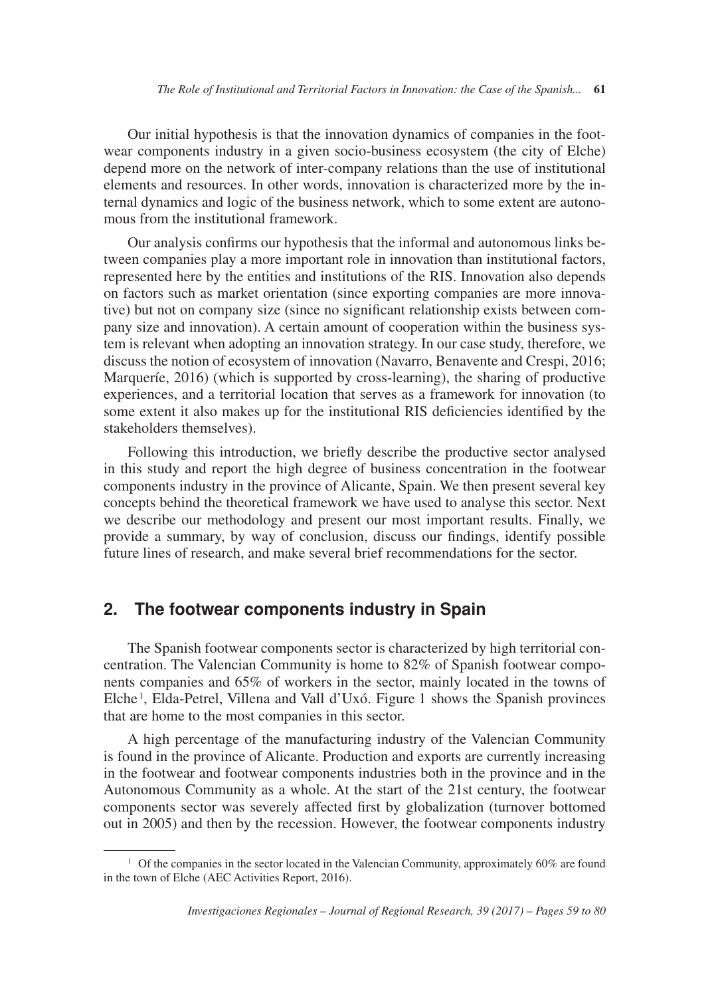Our initial hypothesis is that the innovation dynamics of companies in the footwear components industry in a given socio-business ecosystem (the city of Elche) depend more on the network of inter-company relations than the use of institutional elements and resources. In other words, innovation is characterized more by the internal dynamics and logic of the business network, which to some extent are autonomous from the institutional framework.

Our analysis confirms our hypothesis that the informal and autonomous links between companies play a more important role in innovation than institutional factors, represented here by the entities and institutions of the RIS. Innovation also depends on factors such as market orientation (since exporting companies are more innovative) but not on company size (since no significant relationship exists between company size and innovation). A certain amount of cooperation within the business system is relevant when adopting an innovation strategy. In our case study, therefore, we discuss the notion of ecosystem of innovation (Navarro, Benavente and Crespi, 2016; Marqueríe, 2016) (which is supported by cross-learning), the sharing of productive experiences, and a territorial location that serves as a framework for innovation (to some extent it also makes up for the institutional RIS deficiencies identified by the stakeholders themselves).

Following this introduction, we briefly describe the productive sector analysed in this study and report the high degree of business concentration in the footwear components industry in the province of Alicante, Spain. We then present several key concepts behind the theoretical framework we have used to analyse this sector. Next we describe our methodology and present our most important results. Finally, we provide a summary, by way of conclusion, discuss our findings, identify possible future lines of research, and make several brief recommendations for the sector.

### **2. The footwear components industry in Spain**

The Spanish footwear components sector is characterized by high territorial concentration. The Valencian Community is home to 82% of Spanish footwear components companies and 65% of workers in the sector, mainly located in the towns of Elche<sup>1</sup>, Elda-Petrel, Villena and Vall d'Uxó. Figure 1 shows the Spanish provinces that are home to the most companies in this sector.

A high percentage of the manufacturing industry of the Valencian Community is found in the province of Alicante. Production and exports are currently increasing in the footwear and footwear components industries both in the province and in the Autonomous Community as a whole. At the start of the 21st century, the footwear components sector was severely affected first by globalization (turnover bottomed out in 2005) and then by the recession. However, the footwear components industry

<sup>&</sup>lt;sup>1</sup> Of the companies in the sector located in the Valencian Community, approximately 60% are found in the town of Elche (AEC Activities Report, 2016).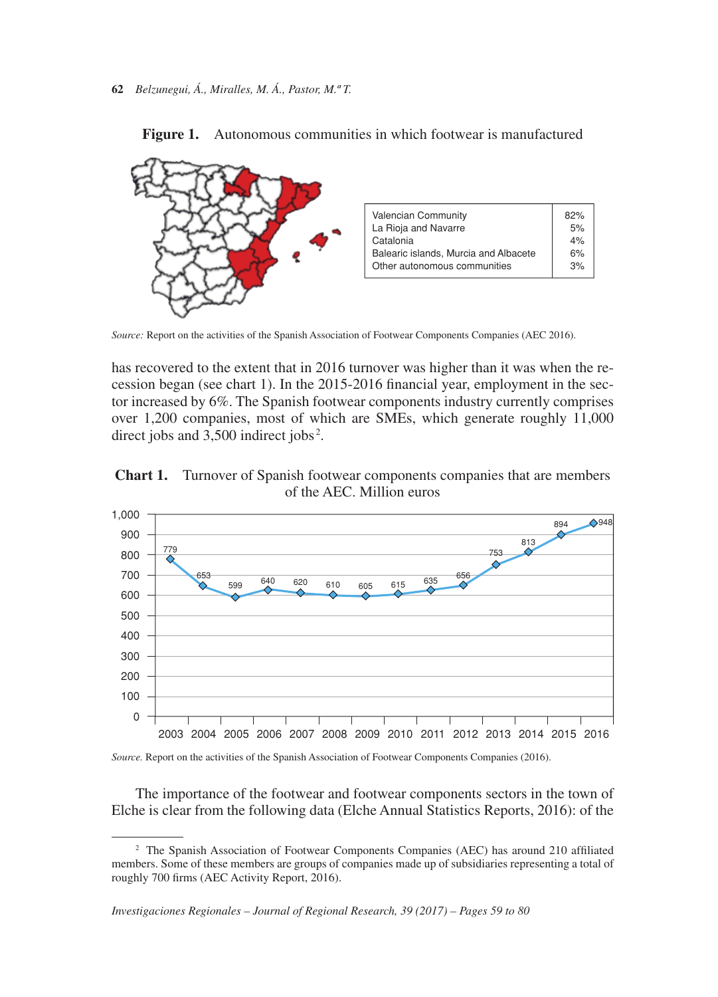

Figure 1. Autonomous communities in which footwear is manufactured

*Source:* Report on the activities of the Spanish Association of Footwear Components Companies (AEC 2016).

has recovered to the extent that in 2016 turnover was higher than it was when the recession began (see chart 1). In the 2015-2016 financial year, employment in the sector increased by 6%. The Spanish footwear components industry currently comprises over 1,200 companies, most of which are SMEs, which generate roughly 11,000 direct jobs and 3,500 indirect jobs<sup>2</sup>.





*Source.* Report on the activities of the Spanish Association of Footwear Components Companies (2016).

The importance of the footwear and footwear components sectors in the town of Elche is clear from the following data (Elche Annual Statistics Reports, 2016): of the

<sup>2</sup> The Spanish Association of Footwear Components Companies (AEC) has around 210 affiliated members. Some of these members are groups of companies made up of subsidiaries representing a total of roughly 700 firms (AEC Activity Report, 2016).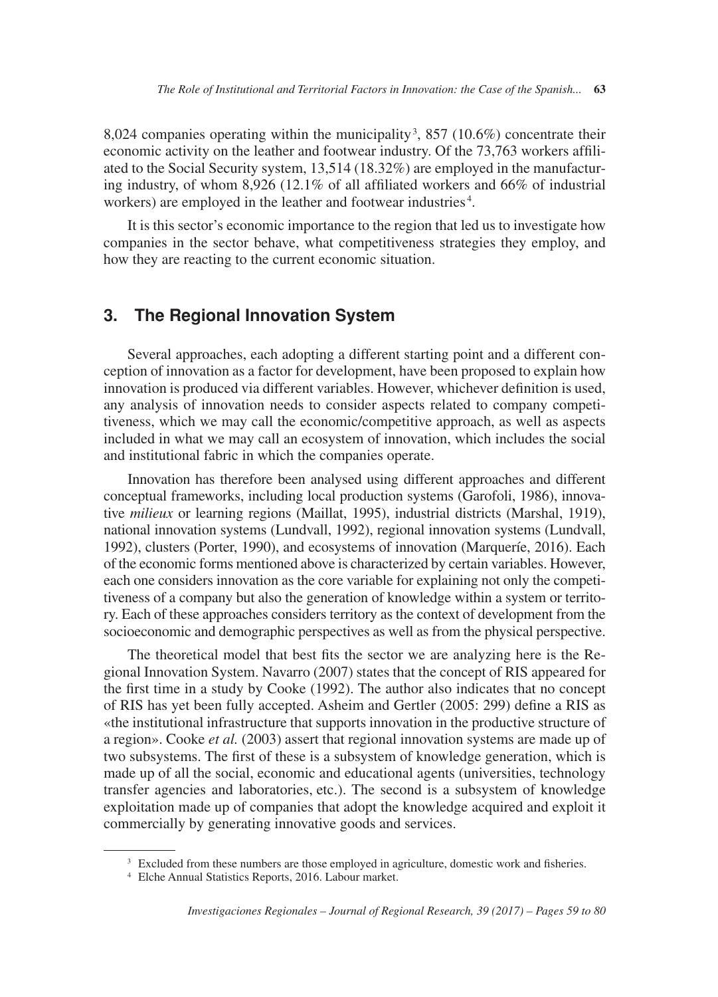8,024 companies operating within the municipality 3 , 857 (10.6%) concentrate their economic activity on the leather and footwear industry. Of the 73,763 workers affiliated to the Social Security system, 13,514 (18.32%) are employed in the manufacturing industry, of whom 8,926 (12.1% of all affiliated workers and 66% of industrial workers) are employed in the leather and footwear industries<sup>4</sup>.

It is this sector's economic importance to the region that led us to investigate how companies in the sector behave, what competitiveness strategies they employ, and how they are reacting to the current economic situation.

#### **3. The Regional Innovation System**

Several approaches, each adopting a different starting point and a different conception of innovation as a factor for development, have been proposed to explain how innovation is produced via different variables. However, whichever definition is used, any analysis of innovation needs to consider aspects related to company competitiveness, which we may call the economic/competitive approach, as well as aspects included in what we may call an ecosystem of innovation, which includes the social and institutional fabric in which the companies operate.

Innovation has therefore been analysed using different approaches and different conceptual frameworks, including local production systems (Garofoli, 1986), innovative *milieux* or learning regions (Maillat, 1995), industrial districts (Marshal, 1919), national innovation systems (Lundvall, 1992), regional innovation systems (Lundvall, 1992), clusters (Porter, 1990), and ecosystems of innovation (Marqueríe, 2016). Each of the economic forms mentioned above is characterized by certain variables. However, each one considers innovation as the core variable for explaining not only the competitiveness of a company but also the generation of knowledge within a system or territory. Each of these approaches considers territory as the context of development from the socioeconomic and demographic perspectives as well as from the physical perspective.

The theoretical model that best fits the sector we are analyzing here is the Regional Innovation System. Navarro (2007) states that the concept of RIS appeared for the first time in a study by Cooke (1992). The author also indicates that no concept of RIS has yet been fully accepted. Asheim and Gertler (2005: 299) define a RIS as «the institutional infrastructure that supports innovation in the productive structure of a region». Cooke *et al.* (2003) assert that regional innovation systems are made up of two subsystems. The first of these is a subsystem of knowledge generation, which is made up of all the social, economic and educational agents (universities, technology transfer agencies and laboratories, etc.). The second is a subsystem of knowledge exploitation made up of companies that adopt the knowledge acquired and exploit it commercially by generating innovative goods and services.

<sup>&</sup>lt;sup>3</sup> Excluded from these numbers are those employed in agriculture, domestic work and fisheries.

<sup>4</sup> Elche Annual Statistics Reports, 2016. Labour market.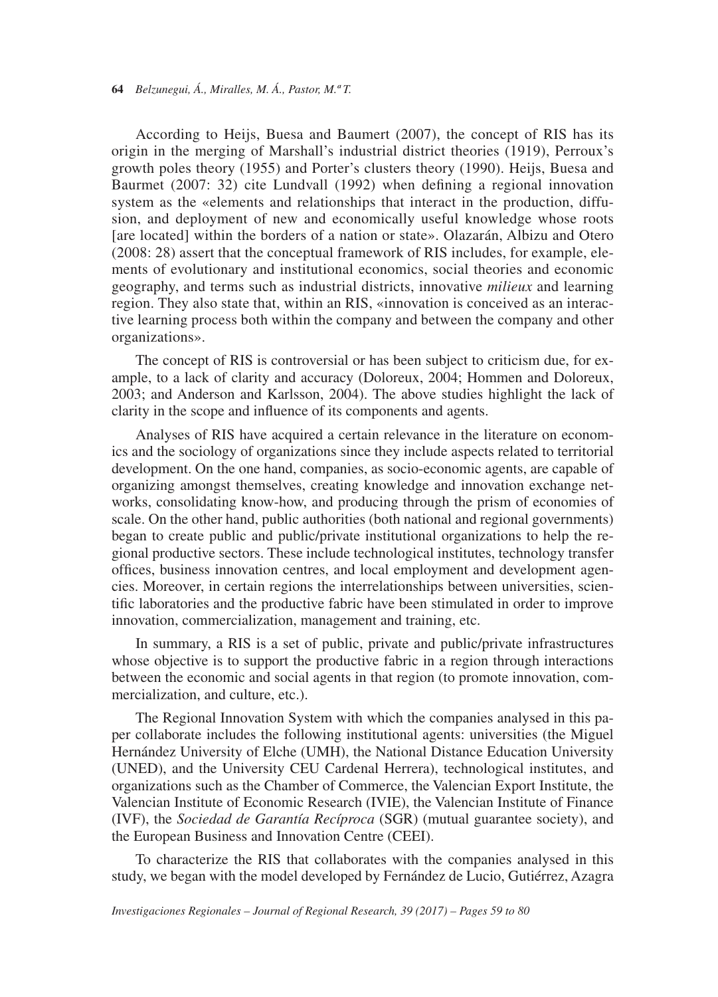According to Heijs, Buesa and Baumert (2007), the concept of RIS has its origin in the merging of Marshall's industrial district theories (1919), Perroux's growth poles theory (1955) and Porter's clusters theory (1990). Heijs, Buesa and Baurmet (2007: 32) cite Lundvall (1992) when defining a regional innovation system as the «elements and relationships that interact in the production, diffusion, and deployment of new and economically useful knowledge whose roots [are located] within the borders of a nation or state». Olazarán, Albizu and Otero (2008: 28) assert that the conceptual framework of RIS includes, for example, elements of evolutionary and institutional economics, social theories and economic geography, and terms such as industrial districts, innovative *milieux* and learning region. They also state that, within an RIS, «innovation is conceived as an interactive learning process both within the company and between the company and other organizations».

The concept of RIS is controversial or has been subject to criticism due, for example, to a lack of clarity and accuracy (Doloreux, 2004; Hommen and Doloreux, 2003; and Anderson and Karlsson, 2004). The above studies highlight the lack of clarity in the scope and influence of its components and agents.

Analyses of RIS have acquired a certain relevance in the literature on economics and the sociology of organizations since they include aspects related to territorial development. On the one hand, companies, as socio-economic agents, are capable of organizing amongst themselves, creating knowledge and innovation exchange networks, consolidating know-how, and producing through the prism of economies of scale. On the other hand, public authorities (both national and regional governments) began to create public and public/private institutional organizations to help the regional productive sectors. These include technological institutes, technology transfer offices, business innovation centres, and local employment and development agencies. Moreover, in certain regions the interrelationships between universities, scientific laboratories and the productive fabric have been stimulated in order to improve innovation, commercialization, management and training, etc.

In summary, a RIS is a set of public, private and public/private infrastructures whose objective is to support the productive fabric in a region through interactions between the economic and social agents in that region (to promote innovation, commercialization, and culture, etc.).

The Regional Innovation System with which the companies analysed in this paper collaborate includes the following institutional agents: universities (the Miguel Hernández University of Elche (UMH), the National Distance Education University (UNED), and the University CEU Cardenal Herrera), technological institutes, and organizations such as the Chamber of Commerce, the Valencian Export Institute, the Valencian Institute of Economic Research (IVIE), the Valencian Institute of Finance (IVF), the *Sociedad de Garantía Recíproca* (SGR) (mutual guarantee society), and the European Business and Innovation Centre (CEEI).

To characterize the RIS that collaborates with the companies analysed in this study, we began with the model developed by Fernández de Lucio, Gutiérrez, Azagra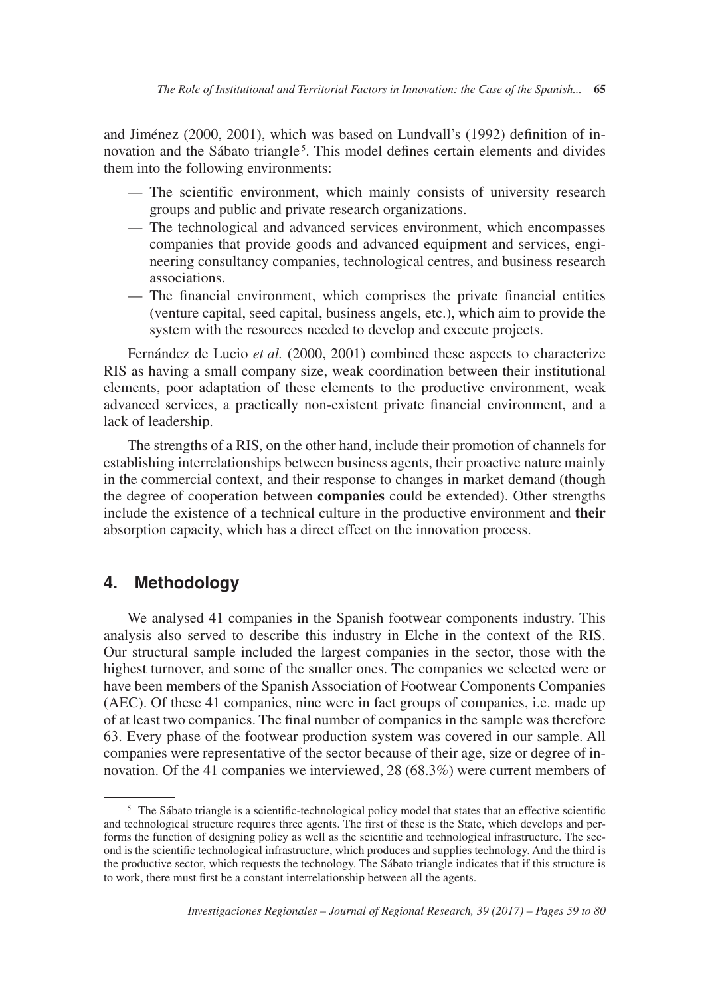and Jiménez (2000, 2001), which was based on Lundvall's (1992) definition of innovation and the Sábato triangle<sup>5</sup>. This model defines certain elements and divides them into the following environments:

- The scientific environment, which mainly consists of university research groups and public and private research organizations.
- The technological and advanced services environment, which encompasses companies that provide goods and advanced equipment and services, engineering consultancy companies, technological centres, and business research associations.
- The financial environment, which comprises the private financial entities (venture capital, seed capital, business angels, etc.), which aim to provide the system with the resources needed to develop and execute projects.

Fernández de Lucio *et al.* (2000, 2001) combined these aspects to characterize RIS as having a small company size, weak coordination between their institutional elements, poor adaptation of these elements to the productive environment, weak advanced services, a practically non-existent private financial environment, and a lack of leadership.

The strengths of a RIS, on the other hand, include their promotion of channels for establishing interrelationships between business agents, their proactive nature mainly in the commercial context, and their response to changes in market demand (though the degree of cooperation between **companies** could be extended). Other strengths include the existence of a technical culture in the productive environment and **their** absorption capacity, which has a direct effect on the innovation process.

## **4. Methodology**

We analysed 41 companies in the Spanish footwear components industry. This analysis also served to describe this industry in Elche in the context of the RIS. Our structural sample included the largest companies in the sector, those with the highest turnover, and some of the smaller ones. The companies we selected were or have been members of the Spanish Association of Footwear Components Companies (AEC). Of these 41 companies, nine were in fact groups of companies, i.e. made up of at least two companies. The final number of companies in the sample was therefore 63. Every phase of the footwear production system was covered in our sample. All companies were representative of the sector because of their age, size or degree of innovation. Of the 41 companies we interviewed, 28 (68.3%) were current members of

<sup>&</sup>lt;sup>5</sup> The Sábato triangle is a scientific-technological policy model that states that an effective scientific and technological structure requires three agents. The first of these is the State, which develops and performs the function of designing policy as well as the scientific and technological infrastructure. The second is the scientific technological infrastructure, which produces and supplies technology. And the third is the productive sector, which requests the technology. The Sábato triangle indicates that if this structure is to work, there must first be a constant interrelationship between all the agents.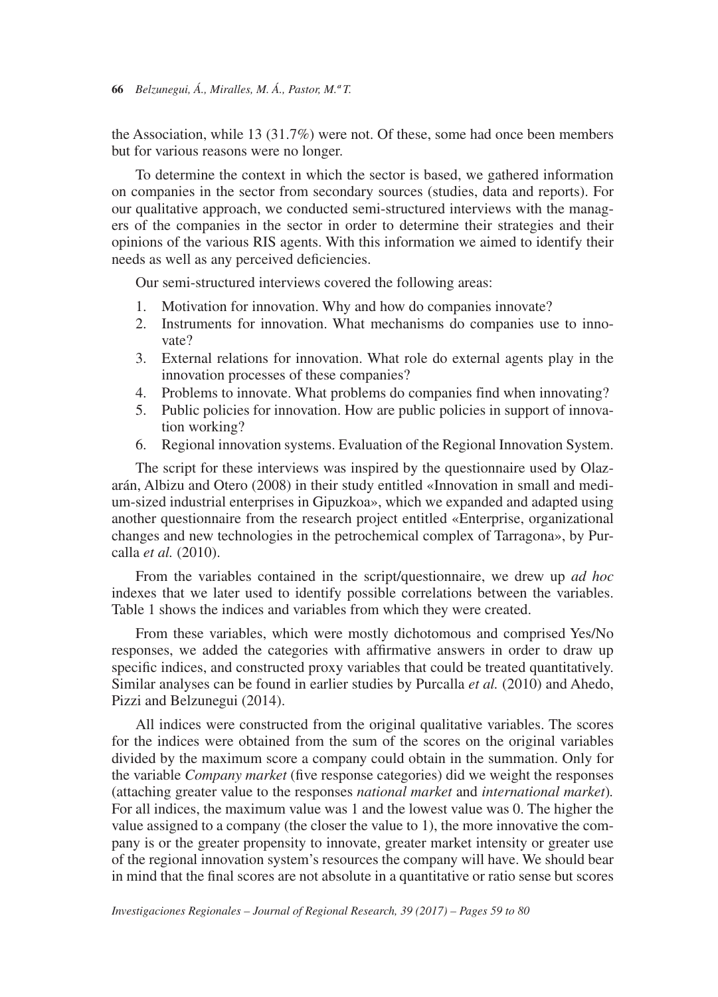the Association, while 13 (31.7%) were not. Of these, some had once been members but for various reasons were no longer.

To determine the context in which the sector is based, we gathered information on companies in the sector from secondary sources (studies, data and reports). For our qualitative approach, we conducted semi-structured interviews with the managers of the companies in the sector in order to determine their strategies and their opinions of the various RIS agents. With this information we aimed to identify their needs as well as any perceived deficiencies.

Our semi-structured interviews covered the following areas:

- 1. Motivation for innovation. Why and how do companies innovate?
- 2. Instruments for innovation. What mechanisms do companies use to innovate?
- 3. External relations for innovation. What role do external agents play in the innovation processes of these companies?
- 4. Problems to innovate. What problems do companies find when innovating?
- 5. Public policies for innovation. How are public policies in support of innovation working?
- 6. Regional innovation systems. Evaluation of the Regional Innovation System.

The script for these interviews was inspired by the questionnaire used by Olazarán, Albizu and Otero (2008) in their study entitled «Innovation in small and medium-sized industrial enterprises in Gipuzkoa», which we expanded and adapted using another questionnaire from the research project entitled «Enterprise, organizational changes and new technologies in the petrochemical complex of Tarragona», by Purcalla *et al.* (2010).

From the variables contained in the script/questionnaire, we drew up *ad hoc* indexes that we later used to identify possible correlations between the variables. Table 1 shows the indices and variables from which they were created.

From these variables, which were mostly dichotomous and comprised Yes/No responses, we added the categories with affirmative answers in order to draw up specific indices, and constructed proxy variables that could be treated quantitatively. Similar analyses can be found in earlier studies by Purcalla *et al.* (2010) and Ahedo, Pizzi and Belzunegui (2014).

All indices were constructed from the original qualitative variables. The scores for the indices were obtained from the sum of the scores on the original variables divided by the maximum score a company could obtain in the summation. Only for the variable *Company market* (five response categories) did we weight the responses (attaching greater value to the responses *national market* and *international market*)*.* For all indices, the maximum value was 1 and the lowest value was 0. The higher the value assigned to a company (the closer the value to 1), the more innovative the company is or the greater propensity to innovate, greater market intensity or greater use of the regional innovation system's resources the company will have. We should bear in mind that the final scores are not absolute in a quantitative or ratio sense but scores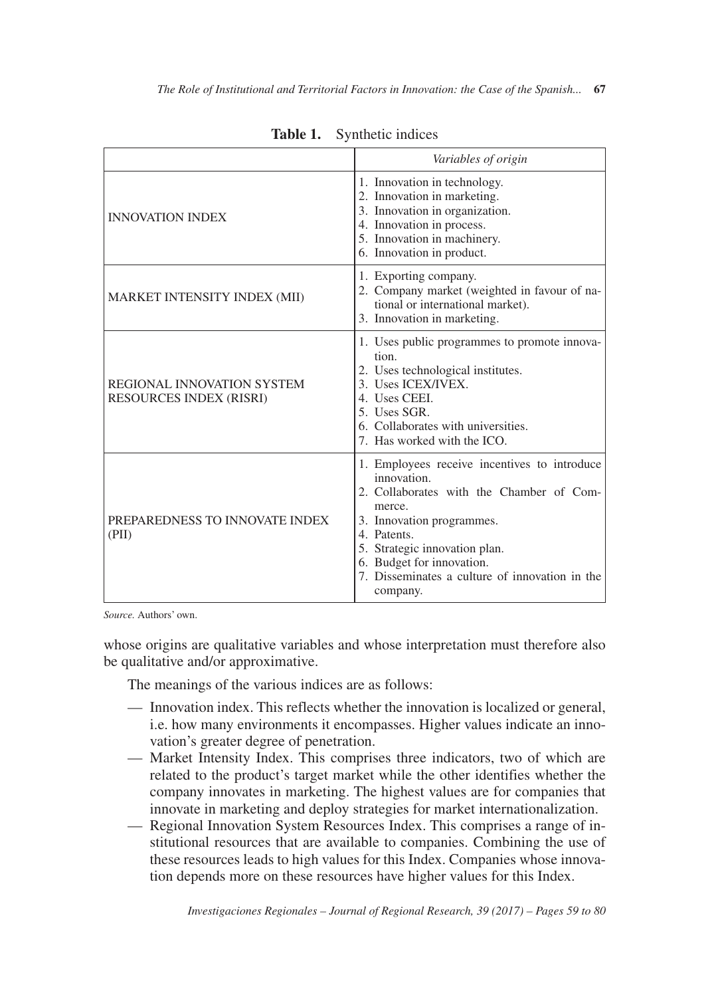|                                                              | Variables of origin                                                                                                                                                                                                                                                                       |
|--------------------------------------------------------------|-------------------------------------------------------------------------------------------------------------------------------------------------------------------------------------------------------------------------------------------------------------------------------------------|
| <b>INNOVATION INDEX</b>                                      | 1. Innovation in technology.<br>2. Innovation in marketing.<br>3. Innovation in organization.<br>4. Innovation in process.<br>5. Innovation in machinery.<br>6. Innovation in product.                                                                                                    |
| MARKET INTENSITY INDEX (MII)                                 | 1. Exporting company.<br>2. Company market (weighted in favour of na-<br>tional or international market).<br>3. Innovation in marketing.                                                                                                                                                  |
| REGIONAL INNOVATION SYSTEM<br><b>RESOURCES INDEX (RISRI)</b> | 1. Uses public programmes to promote innova-<br>tion.<br>2. Uses technological institutes.<br>3. Uses ICEX/IVEX.<br>4. Uses CEEL<br>5. Uses SGR.<br>6. Collaborates with universities.<br>7. Has worked with the ICO.                                                                     |
| PREPAREDNESS TO INNOVATE INDEX<br>(PII)                      | 1. Employees receive incentives to introduce<br>innovation.<br>2. Collaborates with the Chamber of Com-<br>merce.<br>3. Innovation programmes.<br>4. Patents.<br>5. Strategic innovation plan.<br>6. Budget for innovation.<br>7. Disseminates a culture of innovation in the<br>company. |

**Table 1.** Synthetic indices

*Source.* Authors' own.

whose origins are qualitative variables and whose interpretation must therefore also be qualitative and/or approximative.

The meanings of the various indices are as follows:

- Innovation index. This reflects whether the innovation is localized or general, i.e. how many environments it encompasses. Higher values indicate an innovation's greater degree of penetration.
- Market Intensity Index. This comprises three indicators, two of which are related to the product's target market while the other identifies whether the company innovates in marketing. The highest values are for companies that innovate in marketing and deploy strategies for market internationalization.
- Regional Innovation System Resources Index. This comprises a range of institutional resources that are available to companies. Combining the use of these resources leads to high values for this Index. Companies whose innovation depends more on these resources have higher values for this Index.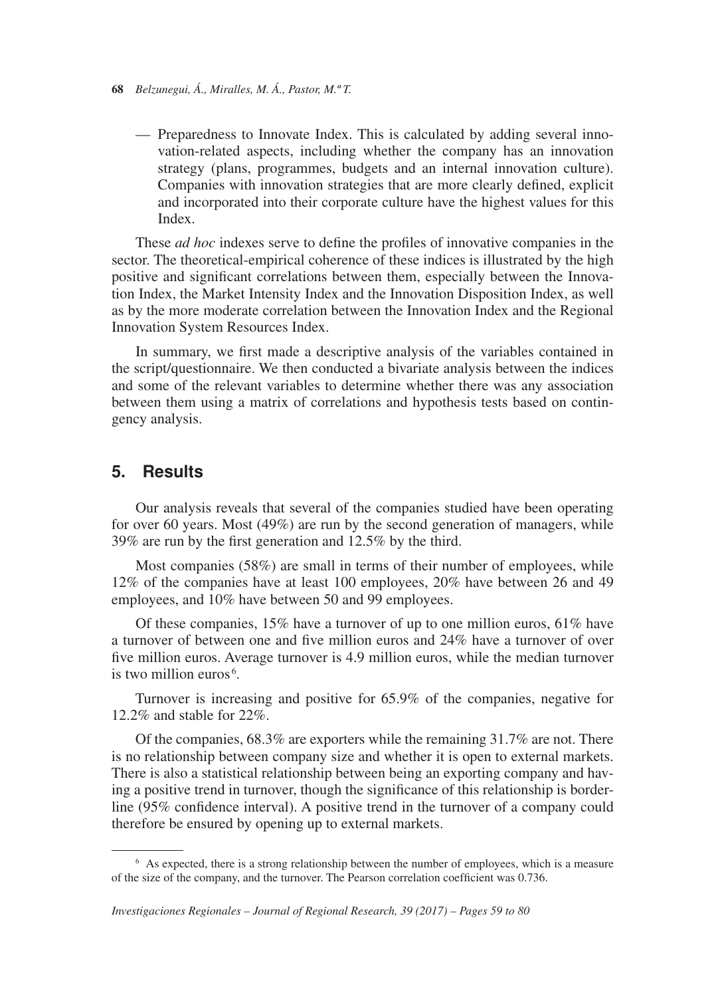- **68** *Belzunegui, Á., Miralles, M. Á., Pastor, M.ª T.*
	- Preparedness to Innovate Index. This is calculated by adding several innovation-related aspects, including whether the company has an innovation strategy (plans, programmes, budgets and an internal innovation culture). Companies with innovation strategies that are more clearly defined, explicit and incorporated into their corporate culture have the highest values for this Index.

These *ad hoc* indexes serve to define the profiles of innovative companies in the sector. The theoretical-empirical coherence of these indices is illustrated by the high positive and significant correlations between them, especially between the Innovation Index, the Market Intensity Index and the Innovation Disposition Index, as well as by the more moderate correlation between the Innovation Index and the Regional Innovation System Resources Index.

In summary, we first made a descriptive analysis of the variables contained in the script/questionnaire. We then conducted a bivariate analysis between the indices and some of the relevant variables to determine whether there was any association between them using a matrix of correlations and hypothesis tests based on contingency analysis.

#### **5. Results**

Our analysis reveals that several of the companies studied have been operating for over 60 years. Most (49%) are run by the second generation of managers, while 39% are run by the first generation and 12.5% by the third.

Most companies (58%) are small in terms of their number of employees, while 12% of the companies have at least 100 employees, 20% have between 26 and 49 employees, and 10% have between 50 and 99 employees.

Of these companies,  $15\%$  have a turnover of up to one million euros,  $61\%$  have a turnover of between one and five million euros and 24% have a turnover of over five million euros. Average turnover is 4.9 million euros, while the median turnover is two million euros<sup>6</sup>.

Turnover is increasing and positive for 65.9% of the companies, negative for 12.2% and stable for 22%.

Of the companies, 68.3% are exporters while the remaining 31.7% are not. There is no relationship between company size and whether it is open to external markets. There is also a statistical relationship between being an exporting company and having a positive trend in turnover, though the significance of this relationship is borderline (95% confidence interval). A positive trend in the turnover of a company could therefore be ensured by opening up to external markets.

<sup>6</sup> As expected, there is a strong relationship between the number of employees, which is a measure of the size of the company, and the turnover. The Pearson correlation coefficient was 0.736.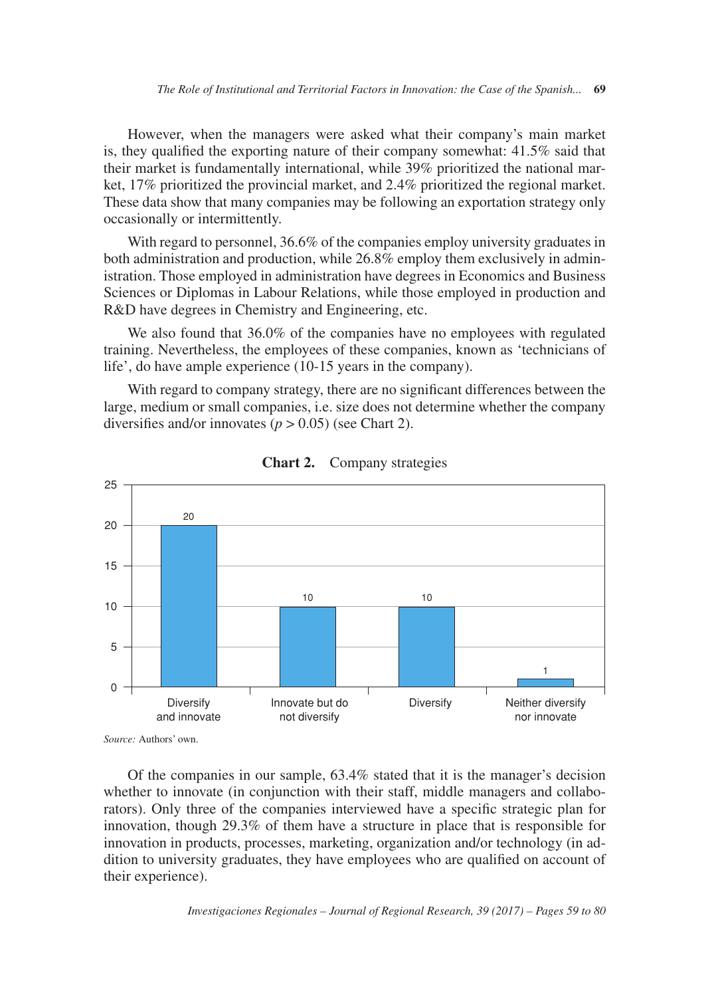However, when the managers were asked what their company's main market is, they qualified the exporting nature of their company somewhat: 41.5% said that their market is fundamentally international, while 39% prioritized the national market, 17% prioritized the provincial market, and 2.4% prioritized the regional market. These data show that many companies may be following an exportation strategy only occasionally or intermittently.

With regard to personnel, 36.6% of the companies employ university graduates in both administration and production, while 26.8% employ them exclusively in administration. Those employed in administration have degrees in Economics and Business Sciences or Diplomas in Labour Relations, while those employed in production and R&D have degrees in Chemistry and Engineering, etc.

We also found that 36.0% of the companies have no employees with regulated training. Nevertheless, the employees of these companies, known as 'technicians of life', do have ample experience (10-15 years in the company).

With regard to company strategy, there are no significant differences between the large, medium or small companies, i.e. size does not determine whether the company diversifies and/or innovates  $(p > 0.05)$  (see Chart 2).



**Chart 2.** Company strategies

*Source:* Authors' own.

Of the companies in our sample, 63.4% stated that it is the manager's decision whether to innovate (in conjunction with their staff, middle managers and collaborators). Only three of the companies interviewed have a specific strategic plan for innovation, though 29.3% of them have a structure in place that is responsible for innovation in products, processes, marketing, organization and/or technology (in addition to university graduates, they have employees who are qualified on account of their experience).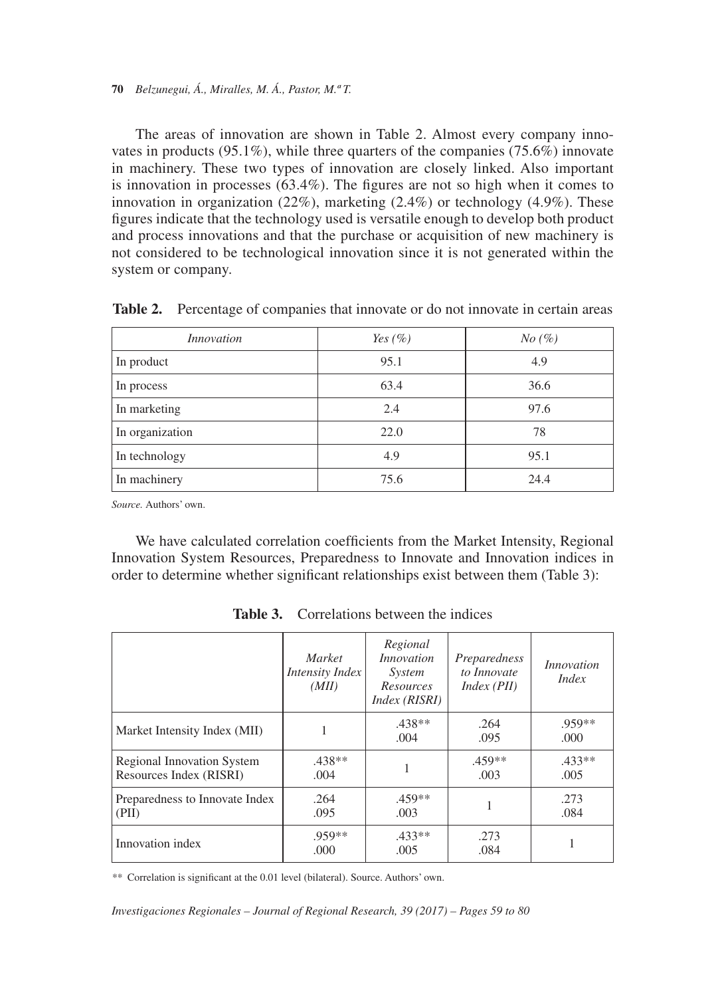#### **70** *Belzunegui, Á., Miralles, M. Á., Pastor, M.ª T.*

The areas of innovation are shown in Table 2. Almost every company innovates in products (95.1%), while three quarters of the companies (75.6%) innovate in machinery. These two types of innovation are closely linked. Also important is innovation in processes  $(63.4\%)$ . The figures are not so high when it comes to innovation in organization  $(22\%)$ , marketing  $(2.4\%)$  or technology  $(4.9\%)$ . These figures indicate that the technology used is versatile enough to develop both product and process innovations and that the purchase or acquisition of new machinery is not considered to be technological innovation since it is not generated within the system or company.

| Innovation      | Yes $(\%)$ | No (%) |
|-----------------|------------|--------|
| In product      | 95.1       | 4.9    |
| In process      | 63.4       | 36.6   |
| In marketing    | 2.4        | 97.6   |
| In organization | 22.0       | 78     |
| In technology   | 4.9        | 95.1   |
| In machinery    | 75.6       | 24.4   |

**Table 2.** Percentage of companies that innovate or do not innovate in certain areas

*Source.* Authors' own.

We have calculated correlation coefficients from the Market Intensity, Regional Innovation System Resources, Preparedness to Innovate and Innovation indices in order to determine whether significant relationships exist between them (Table 3):

|                                                              | <i>Market</i><br>Intensity Index<br>(MII) | Regional<br><i>Innovation</i><br>System<br><b>Resources</b><br>Index (RISRI) | Preparedness<br>to Innovate<br>Index (PII) | <i>Innovation</i><br><i>Index</i> |
|--------------------------------------------------------------|-------------------------------------------|------------------------------------------------------------------------------|--------------------------------------------|-----------------------------------|
| Market Intensity Index (MII)                                 |                                           | $.438**$<br>.004                                                             | .264<br>.095                               | $.959**$<br>.000.                 |
| <b>Regional Innovation System</b><br>Resources Index (RISRI) | $.438**$<br>.004                          |                                                                              | $.459**$<br>.003                           | $.433**$<br>.005                  |
| Preparedness to Innovate Index<br>(PII)                      | .264<br>.095                              | $.459**$<br>.003                                                             | 1                                          | .273<br>.084                      |
| Innovation index                                             | $.959**$<br>.000                          | $.433**$<br>.005                                                             | .273<br>.084                               |                                   |

Table 3. Correlations between the indices

*\*\** Correlation is significant at the 0.01 level (bilateral). Source. Authors' own.

*Investigaciones Regionales – Journal of Regional Research, 39 (2017) – Pages 59 to 80*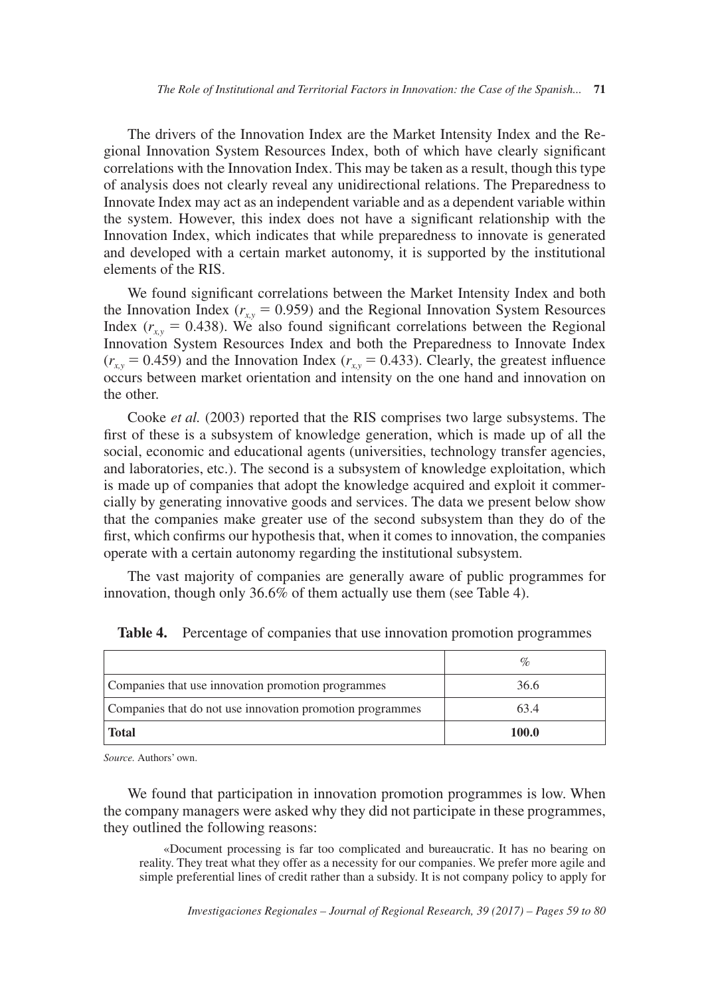The drivers of the Innovation Index are the Market Intensity Index and the Regional Innovation System Resources Index, both of which have clearly significant correlations with the Innovation Index. This may be taken as a result, though this type of analysis does not clearly reveal any unidirectional relations. The Preparedness to Innovate Index may act as an independent variable and as a dependent variable within the system. However, this index does not have a significant relationship with the Innovation Index, which indicates that while preparedness to innovate is generated and developed with a certain market autonomy, it is supported by the institutional elements of the RIS.

We found significant correlations between the Market Intensity Index and both the Innovation Index ( $r_{xy}$  = 0.959) and the Regional Innovation System Resources Index  $(r_{xy} = 0.438)$ . We also found significant correlations between the Regional Innovation System Resources Index and both the Preparedness to Innovate Index  $(r_{xy} = 0.459)$  and the Innovation Index  $(r_{xy} = 0.433)$ . Clearly, the greatest influence occurs between market orientation and intensity on the one hand and innovation on the other.

Cooke *et al.* (2003) reported that the RIS comprises two large subsystems. The first of these is a subsystem of knowledge generation, which is made up of all the social, economic and educational agents (universities, technology transfer agencies, and laboratories, etc.). The second is a subsystem of knowledge exploitation, which is made up of companies that adopt the knowledge acquired and exploit it commercially by generating innovative goods and services. The data we present below show that the companies make greater use of the second subsystem than they do of the first, which confirms our hypothesis that, when it comes to innovation, the companies operate with a certain autonomy regarding the institutional subsystem.

The vast majority of companies are generally aware of public programmes for innovation, though only 36.6% of them actually use them (see Table 4).

| Companies that use innovation promotion programmes        | 36.6  |
|-----------------------------------------------------------|-------|
| Companies that do not use innovation promotion programmes | 63.4  |
| <b>Total</b>                                              | 100.0 |

**Table 4.** Percentage of companies that use innovation promotion programmes

*Source.* Authors' own.

We found that participation in innovation promotion programmes is low. When the company managers were asked why they did not participate in these programmes, they outlined the following reasons:

«Document processing is far too complicated and bureaucratic. It has no bearing on reality. They treat what they offer as a necessity for our companies. We prefer more agile and simple preferential lines of credit rather than a subsidy. It is not company policy to apply for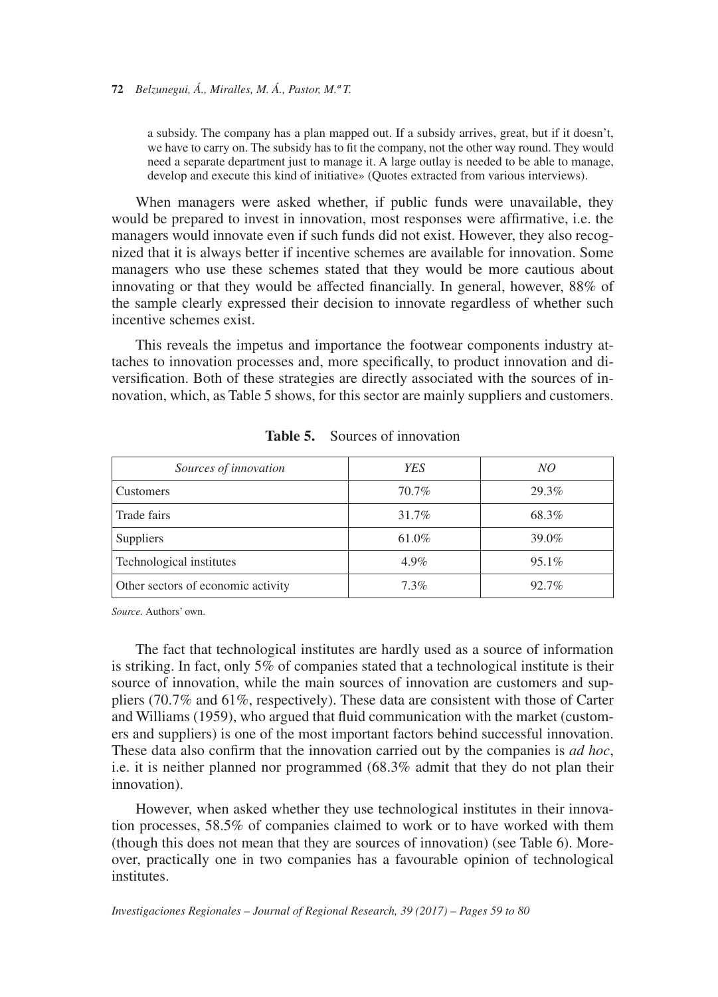a subsidy. The company has a plan mapped out. If a subsidy arrives, great, but if it doesn't, we have to carry on. The subsidy has to fit the company, not the other way round. They would need a separate department just to manage it. A large outlay is needed to be able to manage, develop and execute this kind of initiative» (Quotes extracted from various interviews).

When managers were asked whether, if public funds were unavailable, they would be prepared to invest in innovation, most responses were affirmative, i.e. the managers would innovate even if such funds did not exist. However, they also recognized that it is always better if incentive schemes are available for innovation. Some managers who use these schemes stated that they would be more cautious about innovating or that they would be affected financially. In general, however, 88% of the sample clearly expressed their decision to innovate regardless of whether such incentive schemes exist.

This reveals the impetus and importance the footwear components industry attaches to innovation processes and, more specifically, to product innovation and diversification. Both of these strategies are directly associated with the sources of innovation, which, as Table 5 shows, for this sector are mainly suppliers and customers.

| Sources of innovation              | <b>YES</b> | NO       |
|------------------------------------|------------|----------|
| Customers                          | 70.7%      | 29.3%    |
| Trade fairs                        | 31.7%      | 68.3%    |
| Suppliers                          | 61.0%      | 39.0%    |
| Technological institutes           | 4.9%       | $95.1\%$ |
| Other sectors of economic activity | $7.3\%$    | 92.7%    |

**Table 5.** Sources of innovation

*Source.* Authors' own.

The fact that technological institutes are hardly used as a source of information is striking. In fact, only 5% of companies stated that a technological institute is their source of innovation, while the main sources of innovation are customers and suppliers (70.7% and 61%, respectively). These data are consistent with those of Carter and Williams (1959), who argued that fluid communication with the market (customers and suppliers) is one of the most important factors behind successful innovation. These data also confirm that the innovation carried out by the companies is *ad hoc*, i.e. it is neither planned nor programmed (68.3% admit that they do not plan their innovation).

However, when asked whether they use technological institutes in their innovation processes, 58.5% of companies claimed to work or to have worked with them (though this does not mean that they are sources of innovation) (see Table 6). Moreover, practically one in two companies has a favourable opinion of technological *institutes*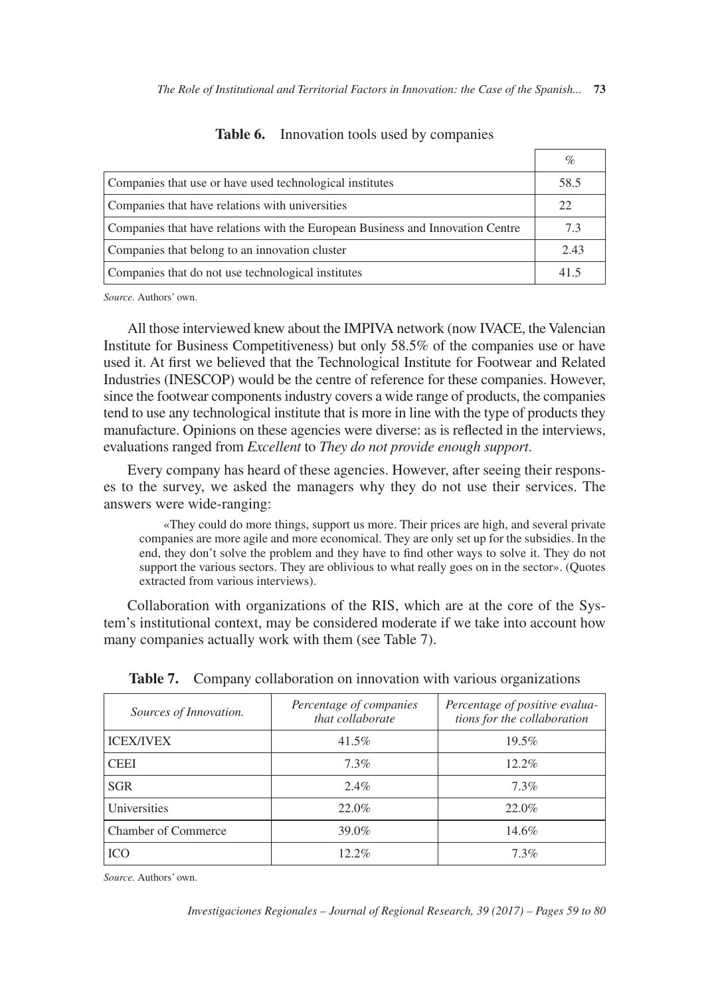|                                                                                | %    |
|--------------------------------------------------------------------------------|------|
| Companies that use or have used technological institutes                       | 58.5 |
| Companies that have relations with universities                                | 22   |
| Companies that have relations with the European Business and Innovation Centre | 7.3  |
| Companies that belong to an innovation cluster                                 | 2.43 |
| Companies that do not use technological institutes                             | 41.5 |

**Table 6.** Innovation tools used by companies

*Source.* Authors' own.

All those interviewed knew about the IMPIVA network (now IVACE, the Valencian Institute for Business Competitiveness) but only 58.5% of the companies use or have used it. At first we believed that the Technological Institute for Footwear and Related Industries (INESCOP) would be the centre of reference for these companies. However, since the footwear components industry covers a wide range of products, the companies tend to use any technological institute that is more in line with the type of products they manufacture. Opinions on these agencies were diverse: as is reflected in the interviews, evaluations ranged from *Excellent* to *They do not provide enough support*.

Every company has heard of these agencies. However, after seeing their responses to the survey, we asked the managers why they do not use their services. The answers were wide-ranging:

«They could do more things, support us more. Their prices are high, and several private companies are more agile and more economical. They are only set up for the subsidies. In the end, they don't solve the problem and they have to find other ways to solve it. They do not support the various sectors. They are oblivious to what really goes on in the sector». (Quotes extracted from various interviews).

Collaboration with organizations of the RIS, which are at the core of the System's institutional context, may be considered moderate if we take into account how many companies actually work with them (see Table 7).

| Sources of Innovation.     | Percentage of companies<br>that collaborate | Percentage of positive evalua-<br>tions for the collaboration |
|----------------------------|---------------------------------------------|---------------------------------------------------------------|
| <b>ICEX/IVEX</b>           | 41.5%                                       | 19.5%                                                         |
| <b>CEEI</b>                | $7.3\%$                                     | $12.2\%$                                                      |
| <b>SGR</b>                 | $2.4\%$                                     | $7.3\%$                                                       |
| Universities               | 22.0%                                       | 22.0%                                                         |
| <b>Chamber of Commerce</b> | 39.0%                                       | 14.6%                                                         |
| <b>ICO</b>                 | $12.2\%$                                    | $7.3\%$                                                       |

**Table 7.** Company collaboration on innovation with various organizations

*Source.* Authors' own.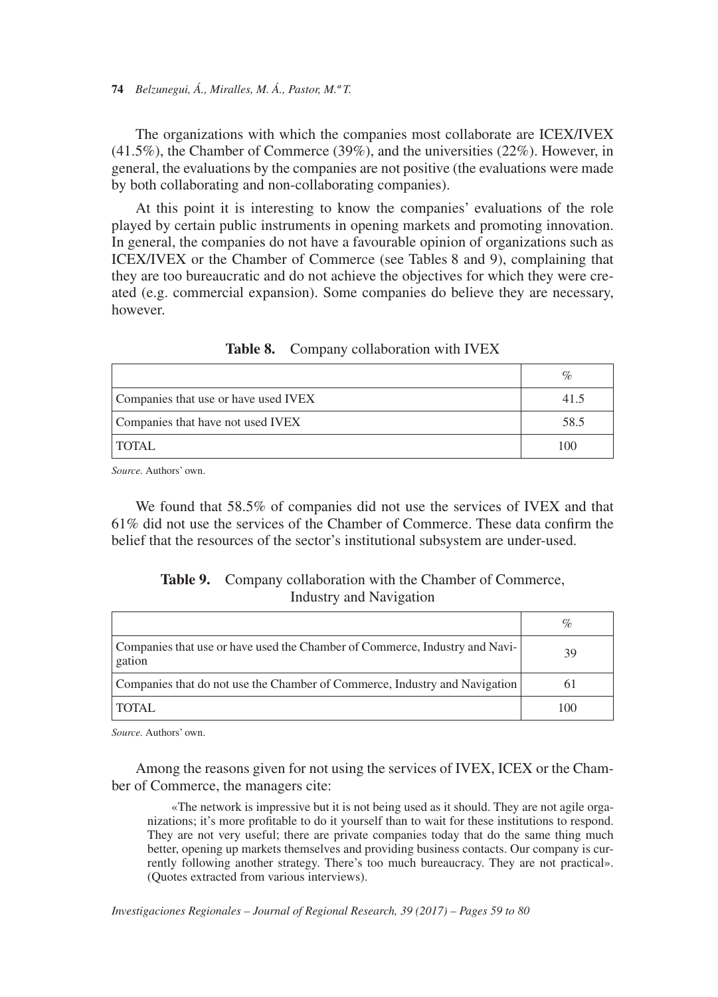The organizations with which the companies most collaborate are ICEX/IVEX (41.5%), the Chamber of Commerce (39%), and the universities (22%). However, in general, the evaluations by the companies are not positive (the evaluations were made by both collaborating and non-collaborating companies).

At this point it is interesting to know the companies' evaluations of the role played by certain public instruments in opening markets and promoting innovation. In general, the companies do not have a favourable opinion of organizations such as ICEX/IVEX or the Chamber of Commerce (see Tables 8 and 9), complaining that they are too bureaucratic and do not achieve the objectives for which they were created (e.g. commercial expansion). Some companies do believe they are necessary, however.

|                                      | %    |
|--------------------------------------|------|
| Companies that use or have used IVEX | 41.5 |
| Companies that have not used IVEX    | 58.5 |
| <b>TOTAL</b>                         | 100  |

**Table 8.** Company collaboration with IVEX

*Source.* Authors' own.

We found that 58.5% of companies did not use the services of IVEX and that 61% did not use the services of the Chamber of Commerce. These data confirm the belief that the resources of the sector's institutional subsystem are under-used.

#### **Table 9.** Company collaboration with the Chamber of Commerce, Industry and Navigation

|                                                                                       | $\%$ |
|---------------------------------------------------------------------------------------|------|
| Companies that use or have used the Chamber of Commerce, Industry and Navi-<br>gation | 39   |
| Companies that do not use the Chamber of Commerce, Industry and Navigation            | 61   |
| <b>TOTAL</b>                                                                          | 100  |

*Source.* Authors' own.

Among the reasons given for not using the services of IVEX, ICEX or the Chamber of Commerce, the managers cite:

«The network is impressive but it is not being used as it should. They are not agile organizations; it's more profitable to do it yourself than to wait for these institutions to respond. They are not very useful; there are private companies today that do the same thing much better, opening up markets themselves and providing business contacts. Our company is currently following another strategy. There's too much bureaucracy. They are not practical». (Quotes extracted from various interviews).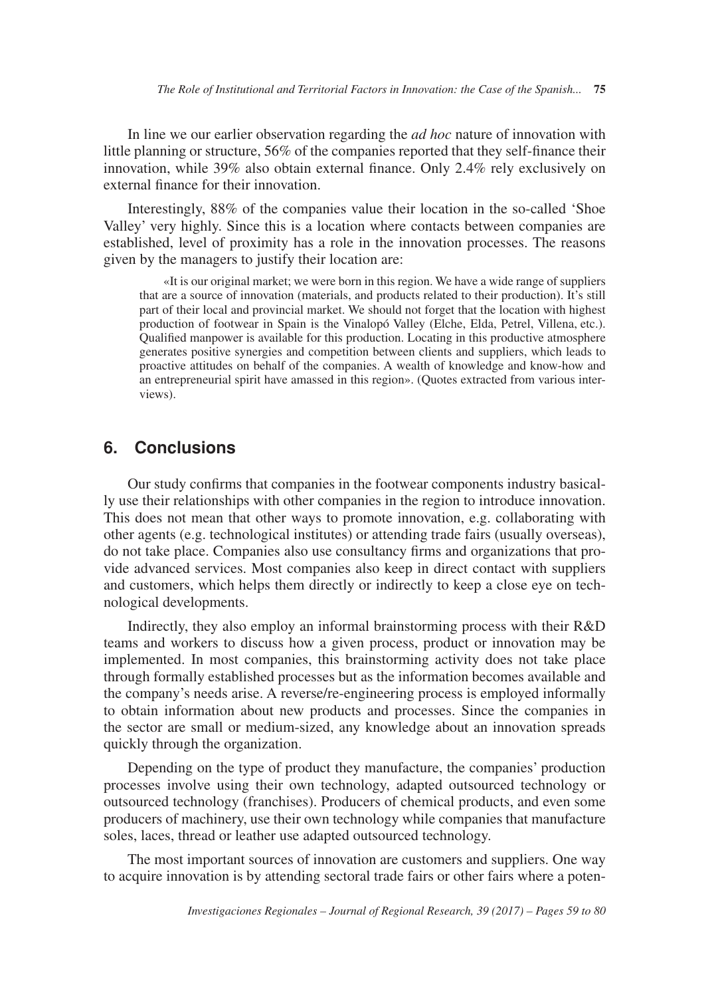In line we our earlier observation regarding the *ad hoc* nature of innovation with little planning or structure, 56% of the companies reported that they self-finance their innovation, while 39% also obtain external finance. Only 2.4% rely exclusively on external finance for their innovation.

Interestingly, 88% of the companies value their location in the so-called 'Shoe Valley' very highly. Since this is a location where contacts between companies are established, level of proximity has a role in the innovation processes. The reasons given by the managers to justify their location are:

«It is our original market; we were born in this region. We have a wide range of suppliers that are a source of innovation (materials, and products related to their production). It's still part of their local and provincial market. We should not forget that the location with highest production of footwear in Spain is the Vinalopó Valley (Elche, Elda, Petrel, Villena, etc.). Qualified manpower is available for this production. Locating in this productive atmosphere generates positive synergies and competition between clients and suppliers, which leads to proactive attitudes on behalf of the companies. A wealth of knowledge and know-how and an entrepreneurial spirit have amassed in this region». (Quotes extracted from various interviews).

#### **6. Conclusions**

Our study confirms that companies in the footwear components industry basically use their relationships with other companies in the region to introduce innovation. This does not mean that other ways to promote innovation, e.g. collaborating with other agents (e.g. technological institutes) or attending trade fairs (usually overseas), do not take place. Companies also use consultancy firms and organizations that provide advanced services. Most companies also keep in direct contact with suppliers and customers, which helps them directly or indirectly to keep a close eye on technological developments.

Indirectly, they also employ an informal brainstorming process with their R&D teams and workers to discuss how a given process, product or innovation may be implemented. In most companies, this brainstorming activity does not take place through formally established processes but as the information becomes available and the company's needs arise. A reverse/re-engineering process is employed informally to obtain information about new products and processes. Since the companies in the sector are small or medium-sized, any knowledge about an innovation spreads quickly through the organization.

Depending on the type of product they manufacture, the companies' production processes involve using their own technology, adapted outsourced technology or outsourced technology (franchises). Producers of chemical products, and even some producers of machinery, use their own technology while companies that manufacture soles, laces, thread or leather use adapted outsourced technology.

The most important sources of innovation are customers and suppliers. One way to acquire innovation is by attending sectoral trade fairs or other fairs where a poten-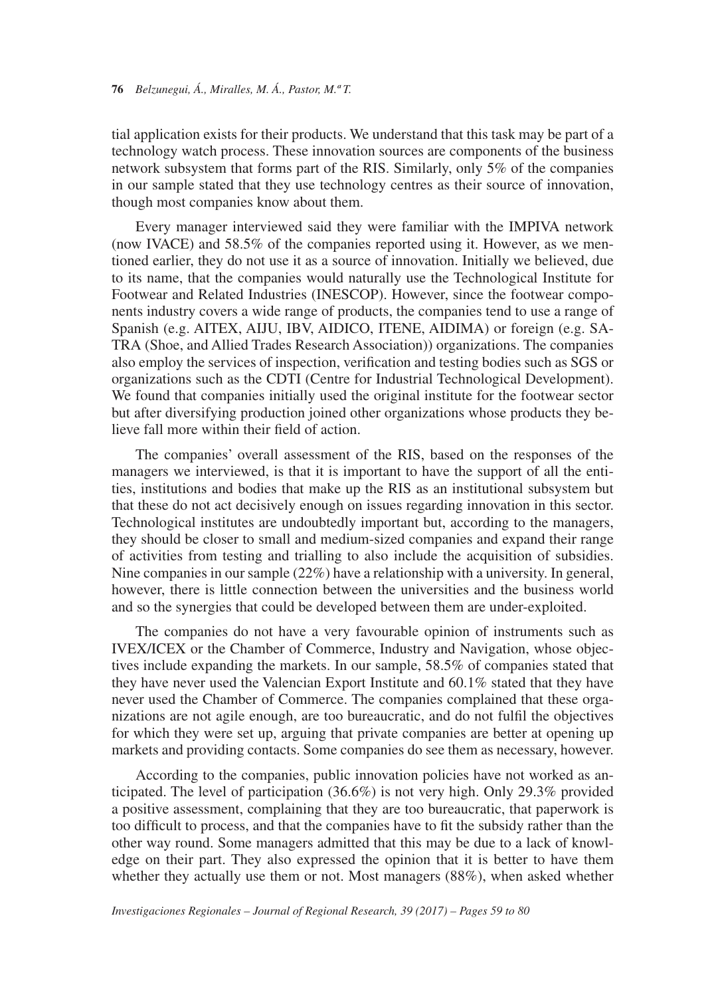tial application exists for their products. We understand that this task may be part of a technology watch process. These innovation sources are components of the business network subsystem that forms part of the RIS. Similarly, only 5% of the companies in our sample stated that they use technology centres as their source of innovation, though most companies know about them.

Every manager interviewed said they were familiar with the IMPIVA network (now IVACE) and 58.5% of the companies reported using it. However, as we mentioned earlier, they do not use it as a source of innovation. Initially we believed, due to its name, that the companies would naturally use the Technological Institute for Footwear and Related Industries (INESCOP). However, since the footwear components industry covers a wide range of products, the companies tend to use a range of Spanish (e.g. AITEX, AIJU, IBV, AIDICO, ITENE, AIDIMA) or foreign (e.g. SA-TRA (Shoe, and Allied Trades Research Association)) organizations. The companies also employ the services of inspection, verification and testing bodies such as SGS or organizations such as the CDTI (Centre for Industrial Technological Development). We found that companies initially used the original institute for the footwear sector but after diversifying production joined other organizations whose products they believe fall more within their field of action.

The companies' overall assessment of the RIS, based on the responses of the managers we interviewed, is that it is important to have the support of all the entities, institutions and bodies that make up the RIS as an institutional subsystem but that these do not act decisively enough on issues regarding innovation in this sector. Technological institutes are undoubtedly important but, according to the managers, they should be closer to small and medium-sized companies and expand their range of activities from testing and trialling to also include the acquisition of subsidies. Nine companies in our sample (22%) have a relationship with a university. In general, however, there is little connection between the universities and the business world and so the synergies that could be developed between them are under-exploited.

The companies do not have a very favourable opinion of instruments such as IVEX/ICEX or the Chamber of Commerce, Industry and Navigation, whose objectives include expanding the markets. In our sample, 58.5% of companies stated that they have never used the Valencian Export Institute and 60.1% stated that they have never used the Chamber of Commerce. The companies complained that these organizations are not agile enough, are too bureaucratic, and do not fulfil the objectives for which they were set up, arguing that private companies are better at opening up markets and providing contacts. Some companies do see them as necessary, however.

According to the companies, public innovation policies have not worked as anticipated. The level of participation (36.6%) is not very high. Only 29.3% provided a positive assessment, complaining that they are too bureaucratic, that paperwork is too difficult to process, and that the companies have to fit the subsidy rather than the other way round. Some managers admitted that this may be due to a lack of knowledge on their part. They also expressed the opinion that it is better to have them whether they actually use them or not. Most managers (88%), when asked whether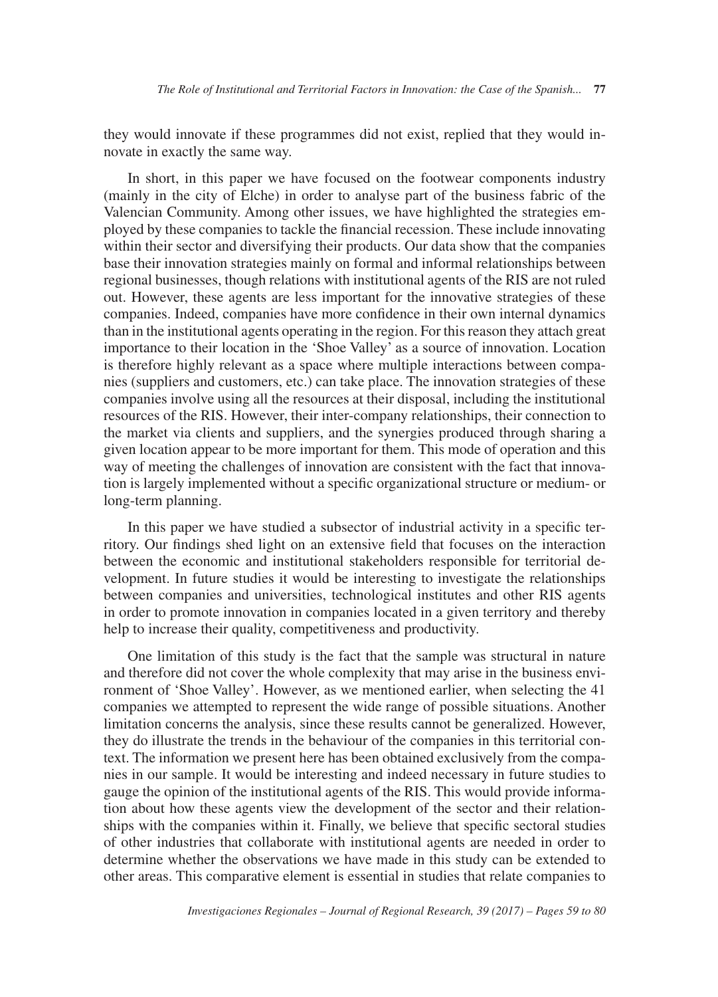they would innovate if these programmes did not exist, replied that they would innovate in exactly the same way.

In short, in this paper we have focused on the footwear components industry (mainly in the city of Elche) in order to analyse part of the business fabric of the Valencian Community. Among other issues, we have highlighted the strategies employed by these companies to tackle the financial recession. These include innovating within their sector and diversifying their products. Our data show that the companies base their innovation strategies mainly on formal and informal relationships between regional businesses, though relations with institutional agents of the RIS are not ruled out. However, these agents are less important for the innovative strategies of these companies. Indeed, companies have more confidence in their own internal dynamics than in the institutional agents operating in the region. For this reason they attach great importance to their location in the 'Shoe Valley' as a source of innovation. Location is therefore highly relevant as a space where multiple interactions between companies (suppliers and customers, etc.) can take place. The innovation strategies of these companies involve using all the resources at their disposal, including the institutional resources of the RIS. However, their inter-company relationships, their connection to the market via clients and suppliers, and the synergies produced through sharing a given location appear to be more important for them. This mode of operation and this way of meeting the challenges of innovation are consistent with the fact that innovation is largely implemented without a specific organizational structure or medium- or long-term planning.

In this paper we have studied a subsector of industrial activity in a specific territory. Our findings shed light on an extensive field that focuses on the interaction between the economic and institutional stakeholders responsible for territorial development. In future studies it would be interesting to investigate the relationships between companies and universities, technological institutes and other RIS agents in order to promote innovation in companies located in a given territory and thereby help to increase their quality, competitiveness and productivity.

One limitation of this study is the fact that the sample was structural in nature and therefore did not cover the whole complexity that may arise in the business environment of 'Shoe Valley'. However, as we mentioned earlier, when selecting the 41 companies we attempted to represent the wide range of possible situations. Another limitation concerns the analysis, since these results cannot be generalized. However, they do illustrate the trends in the behaviour of the companies in this territorial context. The information we present here has been obtained exclusively from the companies in our sample. It would be interesting and indeed necessary in future studies to gauge the opinion of the institutional agents of the RIS. This would provide information about how these agents view the development of the sector and their relationships with the companies within it. Finally, we believe that specific sectoral studies of other industries that collaborate with institutional agents are needed in order to determine whether the observations we have made in this study can be extended to other areas. This comparative element is essential in studies that relate companies to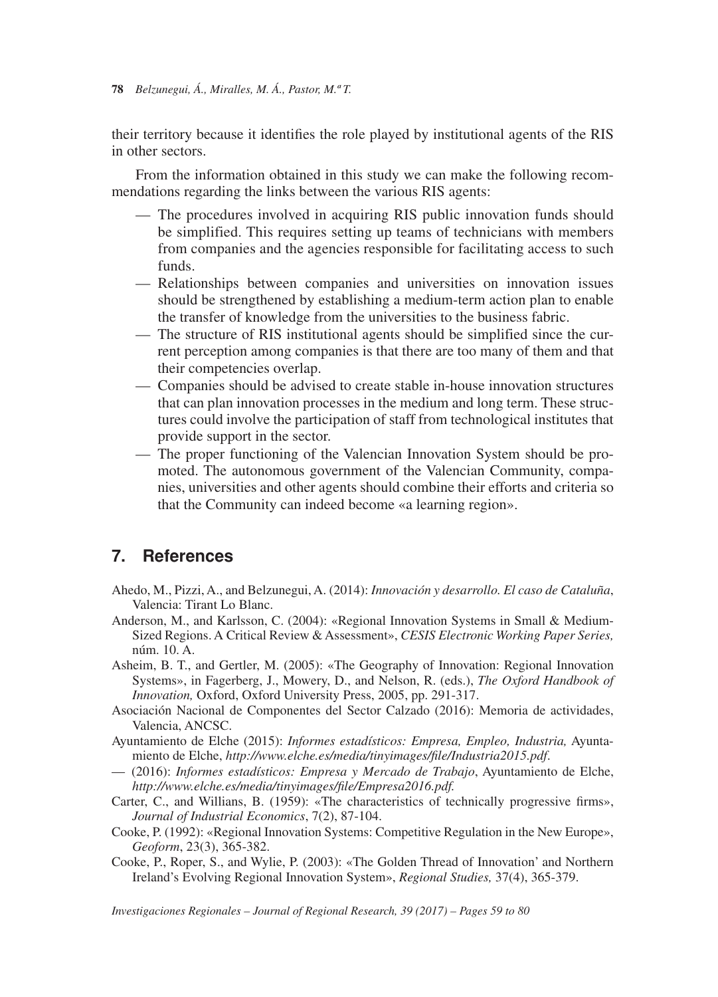their territory because it identifies the role played by institutional agents of the RIS in other sectors.

From the information obtained in this study we can make the following recommendations regarding the links between the various RIS agents:

- The procedures involved in acquiring RIS public innovation funds should be simplified. This requires setting up teams of technicians with members from companies and the agencies responsible for facilitating access to such funds.
- Relationships between companies and universities on innovation issues should be strengthened by establishing a medium-term action plan to enable the transfer of knowledge from the universities to the business fabric.
- The structure of RIS institutional agents should be simplified since the current perception among companies is that there are too many of them and that their competencies overlap.
- Companies should be advised to create stable in-house innovation structures that can plan innovation processes in the medium and long term. These structures could involve the participation of staff from technological institutes that provide support in the sector.
- The proper functioning of the Valencian Innovation System should be promoted. The autonomous government of the Valencian Community, companies, universities and other agents should combine their efforts and criteria so that the Community can indeed become «a learning region».

## **7. References**

- Ahedo, M., Pizzi, A., and Belzunegui, A. (2014): *Innovación y desarrollo. El caso de Cataluña*, Valencia: Tirant Lo Blanc.
- Anderson, M., and Karlsson, C. (2004): «Regional Innovation Systems in Small & Medium-Sized Regions. A Critical Review & Assessment», *CESIS Electronic Working Paper Series,*  núm. 10. A.
- Asheim, B. T., and Gertler, M. (2005): «The Geography of Innovation: Regional Innovation Systems», in Fagerberg, J., Mowery, D., and Nelson, R. (eds.), *The Oxford Handbook of Innovation,* Oxford, Oxford University Press, 2005, pp. 291-317.
- Asociación Nacional de Componentes del Sector Calzado (2016): Memoria de actividades, Valencia, ANCSC.
- Ayuntamiento de Elche (2015): *Informes estadísticos: Empresa, Empleo, Industria,* Ayuntamiento de Elche, *http://www.elche.es/media/tinyimages/file/Industria2015.pdf*.
- (2016): *Informes estadísticos: Empresa y Mercado de Trabajo*, Ayuntamiento de Elche, *http://www.elche.es/media/tinyimages/file/Empresa2016.pdf.*
- Carter, C., and Willians, B. (1959): «The characteristics of technically progressive firms», *Journal of Industrial Economics*, 7(2), 87-104.
- Cooke, P. (1992): «Regional Innovation Systems: Competitive Regulation in the New Europe», *Geoform*, 23(3), 365-382.
- Cooke, P., Roper, S., and Wylie, P. (2003): «The Golden Thread of Innovation' and Northern Ireland's Evolving Regional Innovation System», *Regional Studies,* 37(4), 365-379.

*Investigaciones Regionales – Journal of Regional Research, 39 (2017) – Pages 59 to 80*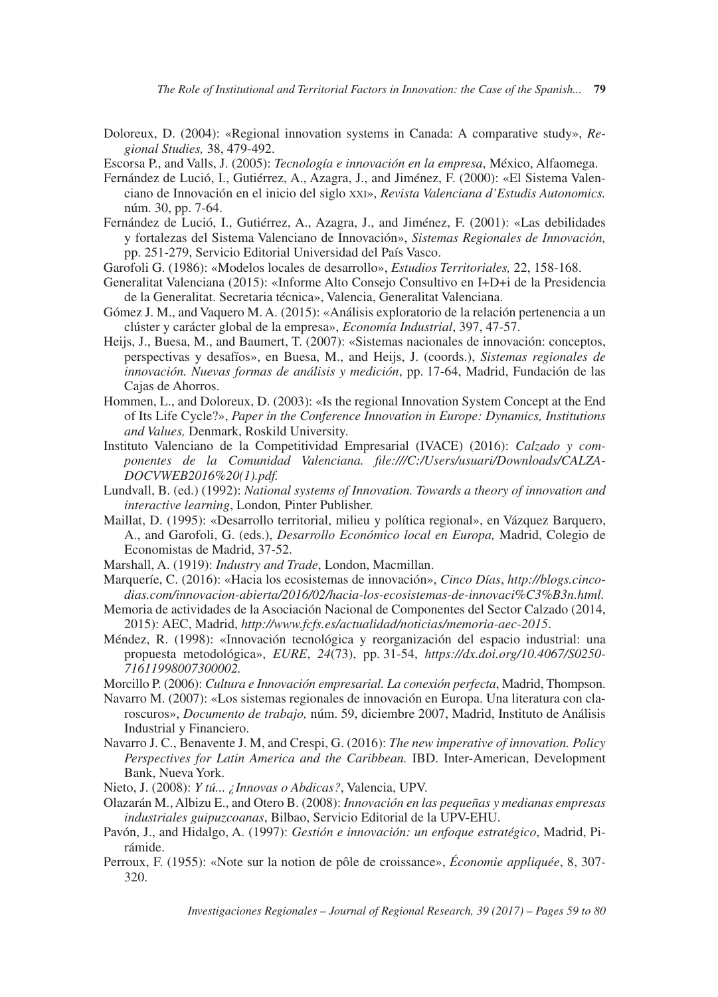Doloreux, D. (2004): «Regional innovation systems in Canada: A comparative study», *Regional Studies,* 38, 479-492.

Escorsa P., and Valls, J. (2005): *Tecnología e innovación en la empresa*, México, Alfaomega.

- Fernández de Lució, I., Gutiérrez, A., Azagra, J., and Jiménez, F. (2000): «El Sistema Valenciano de Innovación en el inicio del siglo xxi», *Revista Valenciana d'Estudis Autonomics.* núm. 30, pp. 7-64.
- Fernández de Lució, I., Gutiérrez, A., Azagra, J., and Jiménez, F. (2001): «Las debilidades y fortalezas del Sistema Valenciano de Innovación», *Sistemas Regionales de Innovación,* pp. 251-279, Servicio Editorial Universidad del País Vasco.
- Garofoli G. (1986): «Modelos locales de desarrollo», *Estudios Territoriales,* 22, 158-168.
- Generalitat Valenciana (2015): «Informe Alto Consejo Consultivo en I+D+i de la Presidencia de la Generalitat. Secretaria técnica», Valencia, Generalitat Valenciana.
- Gómez J. M., and Vaquero M. A. (2015): «Análisis exploratorio de la relación pertenencia a un clúster y carácter global de la empresa», *Economía Industrial*, 397, 47-57.
- Heijs, J., Buesa, M., and Baumert, T. (2007): «Sistemas nacionales de innovación: conceptos, perspectivas y desafíos», en Buesa, M., and Heijs, J. (coords.), *Sistemas regionales de innovación. Nuevas formas de análisis y medición*, pp. 17-64, Madrid, Fundación de las Cajas de Ahorros.
- Hommen, L., and Doloreux, D. (2003): «Is the regional Innovation System Concept at the End of Its Life Cycle?», *Paper in the Conference Innovation in Europe: Dynamics, Institutions and Values,* Denmark, Roskild University.
- Instituto Valenciano de la Competitividad Empresarial (IVACE) (2016): *Calzado y componentes de la Comunidad Valenciana. file:///C:/Users/usuari/Downloads/CALZA-DOCVWEB2016%20(1).pdf.*
- Lundvall, B. (ed.) (1992): *National systems of Innovation. Towards a theory of innovation and interactive learning*, London*,* Pinter Publisher.
- Maillat, D. (1995): «Desarrollo territorial, milieu y política regional», en Vázquez Barquero, A., and Garofoli, G. (eds.), *Desarrollo Económico local en Europa,* Madrid, Colegio de Economistas de Madrid, 37-52.
- Marshall, A. (1919): *Industry and Trade*, London, Macmillan.
- Marqueríe, C. (2016): «Hacia los ecosistemas de innovación», *Cinco Días*, *http://blogs.cincodias.com/innovacion-abierta/2016/02/hacia-los-ecosistemas-de-innovaci%C3%B3n.html.*
- Memoria de actividades de la Asociación Nacional de Componentes del Sector Calzado (2014, 2015): AEC, Madrid, *http://www.fcfs.es/actualidad/noticias/memoria-aec-2015*.
- Méndez, R. (1998): «Innovación tecnológica y reorganización del espacio industrial: una propuesta metodológica», *EURE*, *24*(73), pp. 31-54, *https://dx.doi.org/10.4067/S0250- 71611998007300002.*
- Morcillo P. (2006): *Cultura e Innovación empresarial. La conexión perfecta*, Madrid, Thompson.
- Navarro M. (2007): «Los sistemas regionales de innovación en Europa. Una literatura con claroscuros», *Documento de trabajo,* núm. 59, diciembre 2007, Madrid, Instituto de Análisis Industrial y Financiero.
- Navarro J. C., Benavente J. M, and Crespi, G. (2016): *The new imperative of innovation. Policy Perspectives for Latin America and the Caribbean.* IBD. Inter-American, Development Bank, Nueva York.
- Nieto, J. (2008): *Y tú... ¿Innovas o Abdicas?*, Valencia, UPV.
- Olazarán M., Albizu E., and Otero B. (2008): *Innovación en las pequeñas y medianas empresas industriales guipuzcoanas*, Bilbao, Servicio Editorial de la UPV-EHU.
- Pavón, J., and Hidalgo, A. (1997): *Gestión e innovación: un enfoque estratégico*, Madrid, Pirámide.
- Perroux, F. (1955): «Note sur la notion de pôle de croissance», *Économie appliquée*, 8, 307- 320.